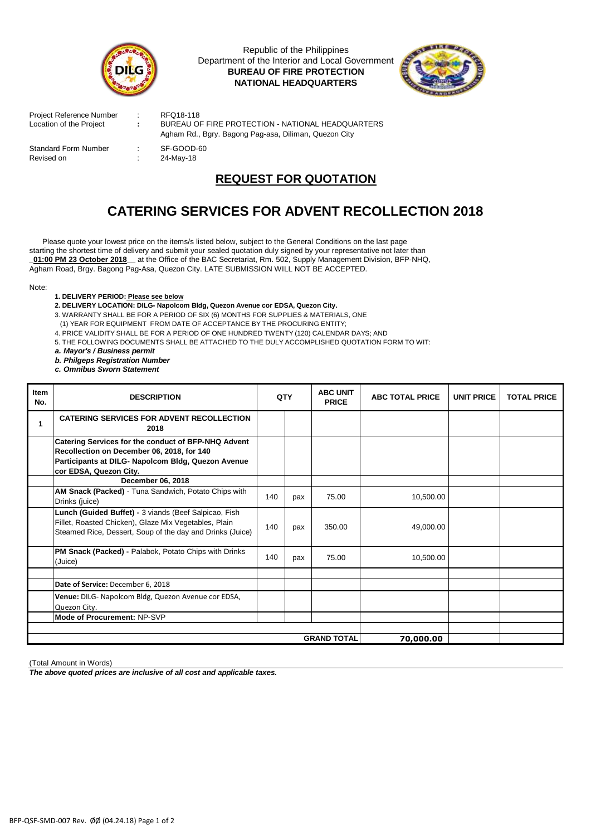

Republic of the Philippines Department of the Interior and Local Government **BUREAU OF FIRE PROTECTION NATIONAL HEADQUARTERS**



| Project Reference Number<br>Location of the Project | ÷. | RFQ18-118<br>BUREAU OF FIRE PROTECTION - NATIONAL HEADQUARTERS      |  |  |  |  |
|-----------------------------------------------------|----|---------------------------------------------------------------------|--|--|--|--|
| <b>Standard Form Number</b>                         |    | Agham Rd., Bgry. Bagong Pag-asa, Diliman, Quezon City<br>SF-GOOD-60 |  |  |  |  |
| Revised on                                          | ÷  | 24-Mav-18                                                           |  |  |  |  |

## **REQUEST FOR QUOTATION**

## **CATERING SERVICES FOR ADVENT RECOLLECTION 2018**

Agham Road, Brgy. Bagong Pag-Asa, Quezon City. LATE SUBMISSION WILL NOT BE ACCEPTED. Please quote your lowest price on the items/s listed below, subject to the General Conditions on the last page starting the shortest time of delivery and submit your sealed quotation duly signed by your representative not later than **\_01:00 PM 23 October 2018\_\_** at the Office of the BAC Secretariat, Rm. 502, Supply Management Division, BFP-NHQ,

Note:

- **1. DELIVERY PERIOD: Please see below**
- **2. DELIVERY LOCATION: DILG- Napolcom Bldg, Quezon Avenue cor EDSA, Quezon City.**
- 3. WARRANTY SHALL BE FOR A PERIOD OF SIX (6) MONTHS FOR SUPPLIES & MATERIALS, ONE
- (1) YEAR FOR EQUIPMENT FROM DATE OF ACCEPTANCE BY THE PROCURING ENTITY;
- 4. PRICE VALIDITY SHALL BE FOR A PERIOD OF ONE HUNDRED TWENTY (120) CALENDAR DAYS; AND
- 5. THE FOLLOWING DOCUMENTS SHALL BE ATTACHED TO THE DULY ACCOMPLISHED QUOTATION FORM TO WIT:
- *a. Mayor's / Business permit*
- *b. Philgeps Registration Number*
- *c. Omnibus Sworn Statement*

| Item<br>No. | <b>DESCRIPTION</b>                                                                                                                                                                |           | QTY | <b>ABC UNIT</b><br><b>PRICE</b> | <b>ABC TOTAL PRICE</b> | <b>UNIT PRICE</b> | <b>TOTAL PRICE</b> |
|-------------|-----------------------------------------------------------------------------------------------------------------------------------------------------------------------------------|-----------|-----|---------------------------------|------------------------|-------------------|--------------------|
|             | <b>CATERING SERVICES FOR ADVENT RECOLLECTION</b><br>2018                                                                                                                          |           |     |                                 |                        |                   |                    |
|             | Catering Services for the conduct of BFP-NHQ Advent<br>Recollection on December 06, 2018, for 140<br>Participants at DILG- Napolcom Bldg, Quezon Avenue<br>cor EDSA, Quezon City. |           |     |                                 |                        |                   |                    |
|             | December 06, 2018                                                                                                                                                                 |           |     |                                 |                        |                   |                    |
|             | AM Snack (Packed) - Tuna Sandwich, Potato Chips with<br>Drinks (juice)                                                                                                            | 140       | pax | 75.00                           | 10,500.00              |                   |                    |
|             | Lunch (Guided Buffet) - 3 viands (Beef Salpicao, Fish<br>Fillet, Roasted Chicken), Glaze Mix Vegetables, Plain<br>Steamed Rice, Dessert, Soup of the day and Drinks (Juice)       | 140       | pax | 350.00                          | 49,000.00              |                   |                    |
|             | PM Snack (Packed) - Palabok, Potato Chips with Drinks<br>(Juice)                                                                                                                  | 140       | pax | 75.00                           | 10,500.00              |                   |                    |
|             |                                                                                                                                                                                   |           |     |                                 |                        |                   |                    |
|             | Date of Service: December 6, 2018                                                                                                                                                 |           |     |                                 |                        |                   |                    |
|             | Venue: DILG- Napolcom Bldg, Quezon Avenue cor EDSA,<br>Quezon City.                                                                                                               |           |     |                                 |                        |                   |                    |
|             | Mode of Procurement: NP-SVP                                                                                                                                                       |           |     |                                 |                        |                   |                    |
|             |                                                                                                                                                                                   |           |     |                                 |                        |                   |                    |
|             |                                                                                                                                                                                   | 70,000.00 |     |                                 |                        |                   |                    |

(Total Amount in Words)

*The above quoted prices are inclusive of all cost and applicable taxes.*